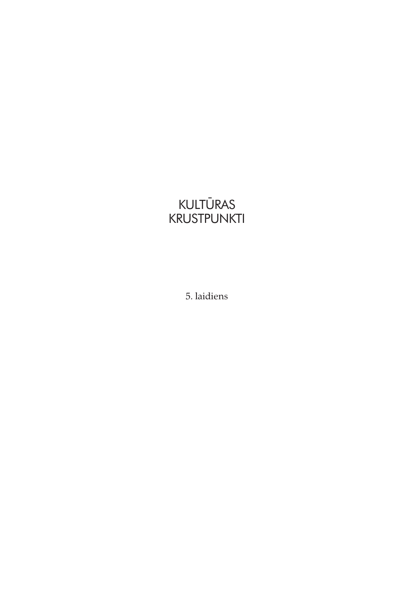## **KULTURAS** KRUSTPUNKTI

5. laidiens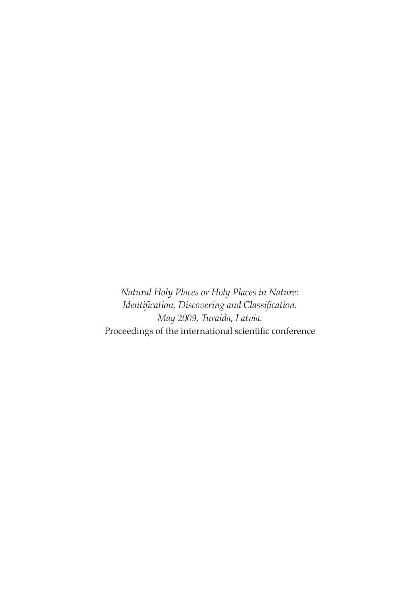Natural Holy Places or Holy Places in Nature: Identification, Discovering and Classification. May 2009, Turaida, Latvia. Proceedings of the international scientific conference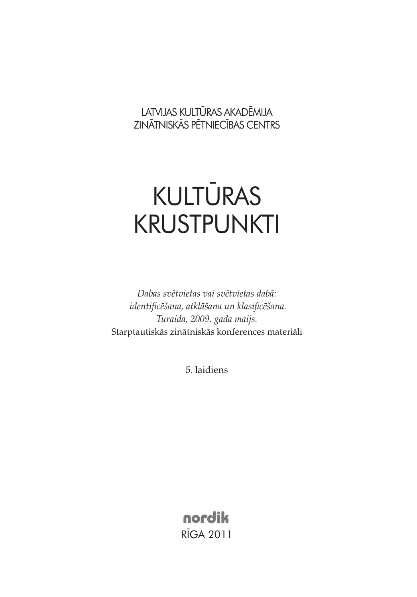LATVIJAS KULTŪRAS AKADĒMIJA ZINĀTNISKĀS PĒTNIECĪBAS CENTRS

## KULTŪRAS KRUSTPUNKTI

Dabas svētvietas vai svētvietas dabā: identificēšana, atklāšana un klasificēšana. Turaida, 2009. gada maijs. Starptautiskās zinātniskās konferences materiāli

5. laidiens

nordik RĪGA 2011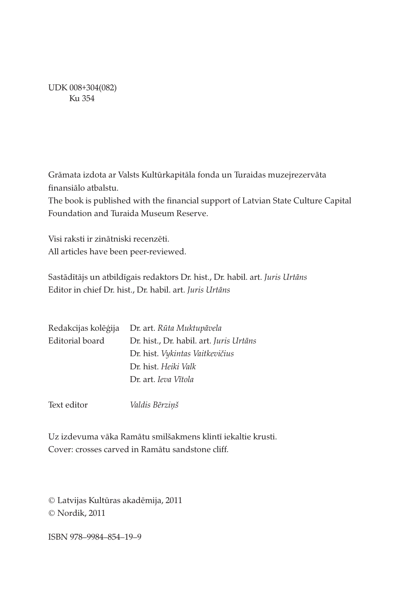UDK 008+304(082) Ku 354

Grāmata izdota ar Valsts Kultūrkapitāla fonda un Turaidas muzejrezervāta finansiālo atbalstu.

The book is published with the financial support of Latvian State Culture Capital Foundation and Turaida Museum Reserve.

Visi raksti ir zinātniski recenzēti. All articles have been peer-reviewed.

Sastādītājs un atbildīgais redaktors Dr. hist., Dr. habil. art. Juris Urtāns Editor in chief Dr. hist., Dr. habil. art. Juris Urtāns

| Redakcijas kolēģija | Dr. art. Rūta Muktupāvela               |
|---------------------|-----------------------------------------|
| Editorial board     | Dr. hist., Dr. habil. art. Juris Urtāns |
|                     | Dr. hist. Vykintas Vaitkevičius         |
|                     | Dr. hist. Heiki Valk                    |
|                     | Dr. art. Ieva Vītola                    |
|                     |                                         |

Text editor Valdis Bērziņš

Uz izdevuma vāka Ramātu smilšakmens klintī iekaltie krusti. Cover: crosses carved in Ramātu sandstone cliff.

© Latvijas Kultūras akadēmija, 2011 © Nordik, 2011

ISBN 978–9984–854–19–9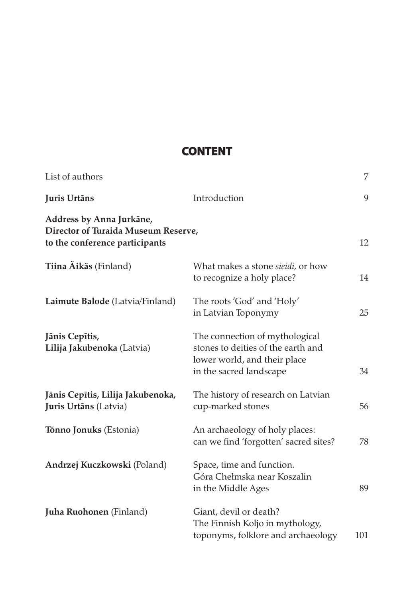## **Content**

| List of authors                                                                                   |                                                                                                                                 | 7   |
|---------------------------------------------------------------------------------------------------|---------------------------------------------------------------------------------------------------------------------------------|-----|
| Juris Urtāns                                                                                      | Introduction                                                                                                                    | 9   |
| Address by Anna Jurkāne,<br>Director of Turaida Museum Reserve,<br>to the conference participants |                                                                                                                                 | 12  |
| Tiina Äikäs (Finland)                                                                             | What makes a stone sieidi, or how<br>to recognize a holy place?                                                                 | 14  |
| Laimute Balode (Latvia/Finland)                                                                   | The roots 'God' and 'Holy'<br>in Latvian Toponymy                                                                               | 25  |
| Jānis Cepītis,<br>Lilija Jakubenoka (Latvia)                                                      | The connection of mythological<br>stones to deities of the earth and<br>lower world, and their place<br>in the sacred landscape | 34  |
| Jānis Cepītis, Lilija Jakubenoka,<br>Juris Urtāns (Latvia)                                        | The history of research on Latvian<br>cup-marked stones                                                                         | 56  |
| <b>Tõnno Jonuks</b> (Estonia)                                                                     | An archaeology of holy places:<br>can we find 'forgotten' sacred sites?                                                         | 78  |
| Andrzej Kuczkowski (Poland)                                                                       | Space, time and function.<br>Góra Chełmska near Koszalin<br>in the Middle Ages                                                  | 89  |
| Juha Ruohonen (Finland)                                                                           | Giant, devil or death?<br>The Finnish Koljo in mythology,<br>toponyms, folklore and archaeology                                 | 101 |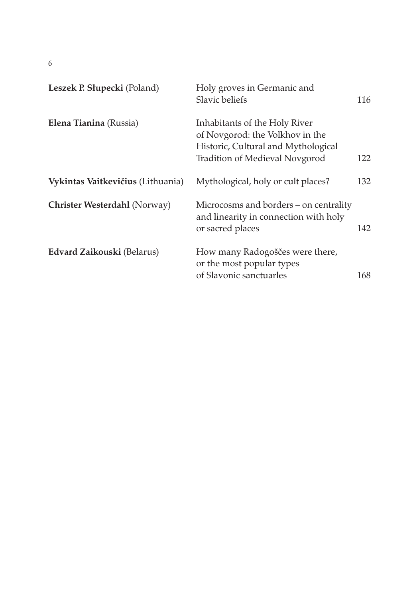6

| Leszek P. Słupecki (Poland)       | Holy groves in Germanic and<br>Slavic beliefs                                                                                             | 116  |
|-----------------------------------|-------------------------------------------------------------------------------------------------------------------------------------------|------|
| Elena Tianina (Russia)            | Inhabitants of the Holy River<br>of Novgorod: the Volkhov in the<br>Historic, Cultural and Mythological<br>Tradition of Medieval Novgorod | 122. |
| Vykintas Vaitkevičius (Lithuania) | Mythological, holy or cult places?                                                                                                        | 132  |
| Christer Westerdahl (Norway)      | Microcosms and borders – on centrality<br>and linearity in connection with holy<br>or sacred places                                       | 142  |
| Edvard Zaikouski (Belarus)        | How many Radogoščes were there,<br>or the most popular types<br>of Slavonic sanctuarles                                                   | 168. |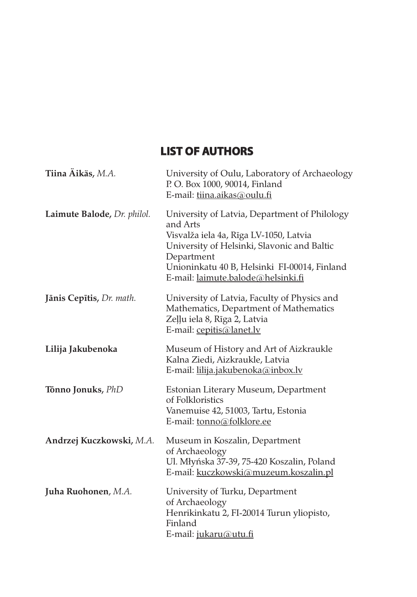## **List of authors**

| Tiina Aikäs, M.A.           | University of Oulu, Laboratory of Archaeology<br>P. O. Box 1000, 90014, Finland<br>E-mail: tiina.aikas@oulu.fi                                                                                                                                         |
|-----------------------------|--------------------------------------------------------------------------------------------------------------------------------------------------------------------------------------------------------------------------------------------------------|
| Laimute Balode, Dr. philol. | University of Latvia, Department of Philology<br>and Arts<br>Visvalža iela 4a, Rīga LV-1050, Latvia<br>University of Helsinki, Slavonic and Baltic<br>Department<br>Unioninkatu 40 B, Helsinki FI-00014, Finland<br>E-mail: laimute.balode@helsinki.fi |
| Jānis Cepītis, Dr. math.    | University of Latvia, Faculty of Physics and<br>Mathematics, Department of Mathematics<br>Zeļļu iela 8, Rīga 2, Latvia<br>E-mail: cepitis@lanet.lv                                                                                                     |
| Lilija Jakubenoka           | Museum of History and Art of Aizkraukle<br>Kalna Ziedi, Aizkraukle, Latvia<br>E-mail: lilija.jakubenoka@inbox.lv                                                                                                                                       |
| Tõnno Jonuks, PhD           | Estonian Literary Museum, Department<br>of Folkloristics<br>Vanemuise 42, 51003, Tartu, Estonia<br>E-mail: tonno@folklore.ee                                                                                                                           |
| Andrzej Kuczkowski, M.A.    | Museum in Koszalin, Department<br>of Archaeology<br>Ul. Młyńska 37-39, 75-420 Koszalin, Poland<br>E-mail: kuczkowski@muzeum.koszalin.pl                                                                                                                |
| Juha Ruohonen, M.A.         | University of Turku, Department<br>of Archaeology<br>Henrikinkatu 2, FI-20014 Turun yliopisto,<br>Finland<br>E-mail: jukaru@utu.fi                                                                                                                     |